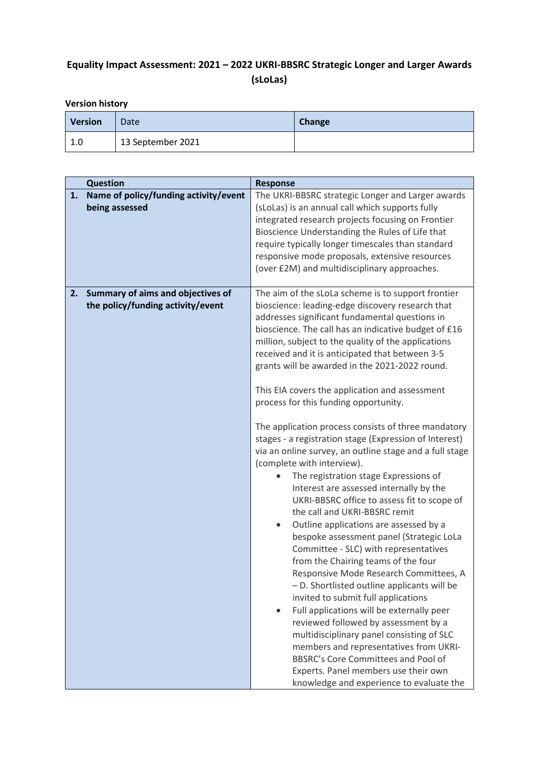# **Equality Impact Assessment: 2021 – 2022 UKRI-BBSRC Strategic Longer and Larger Awards (sLoLas)**

# **Version history**

| <b>Version</b> | Date              | Change |
|----------------|-------------------|--------|
| 1.0            | 13 September 2021 |        |

|    | <b>Question</b>                                                        | <b>Response</b>                                                                                                                                                                                                                                                                                                                                                                                                                                                                                                                                                                                                                                                                                                                                                                                                                                                                                                                                                                                                                                                                                                                                                                                                                                                                                                                                                                                                                                                                 |
|----|------------------------------------------------------------------------|---------------------------------------------------------------------------------------------------------------------------------------------------------------------------------------------------------------------------------------------------------------------------------------------------------------------------------------------------------------------------------------------------------------------------------------------------------------------------------------------------------------------------------------------------------------------------------------------------------------------------------------------------------------------------------------------------------------------------------------------------------------------------------------------------------------------------------------------------------------------------------------------------------------------------------------------------------------------------------------------------------------------------------------------------------------------------------------------------------------------------------------------------------------------------------------------------------------------------------------------------------------------------------------------------------------------------------------------------------------------------------------------------------------------------------------------------------------------------------|
| 1. | Name of policy/funding activity/event<br>being assessed                | The UKRI-BBSRC strategic Longer and Larger awards<br>(sLoLas) is an annual call which supports fully<br>integrated research projects focusing on Frontier<br>Bioscience Understanding the Rules of Life that<br>require typically longer timescales than standard<br>responsive mode proposals, extensive resources<br>(over £2M) and multidisciplinary approaches.                                                                                                                                                                                                                                                                                                                                                                                                                                                                                                                                                                                                                                                                                                                                                                                                                                                                                                                                                                                                                                                                                                             |
| 2. | Summary of aims and objectives of<br>the policy/funding activity/event | The aim of the sLoLa scheme is to support frontier<br>bioscience: leading-edge discovery research that<br>addresses significant fundamental questions in<br>bioscience. The call has an indicative budget of £16<br>million, subject to the quality of the applications<br>received and it is anticipated that between 3-5<br>grants will be awarded in the 2021-2022 round.<br>This EIA covers the application and assessment<br>process for this funding opportunity.<br>The application process consists of three mandatory<br>stages - a registration stage (Expression of Interest)<br>via an online survey, an outline stage and a full stage<br>(complete with interview).<br>The registration stage Expressions of<br>Interest are assessed internally by the<br>UKRI-BBSRC office to assess fit to scope of<br>the call and UKRI-BBSRC remit<br>Outline applications are assessed by a<br>bespoke assessment panel (Strategic LoLa<br>Committee - SLC) with representatives<br>from the Chairing teams of the four<br>Responsive Mode Research Committees, A<br>- D. Shortlisted outline applicants will be<br>invited to submit full applications<br>Full applications will be externally peer<br>$\bullet$<br>reviewed followed by assessment by a<br>multidisciplinary panel consisting of SLC<br>members and representatives from UKRI-<br>BBSRC's Core Committees and Pool of<br>Experts. Panel members use their own<br>knowledge and experience to evaluate the |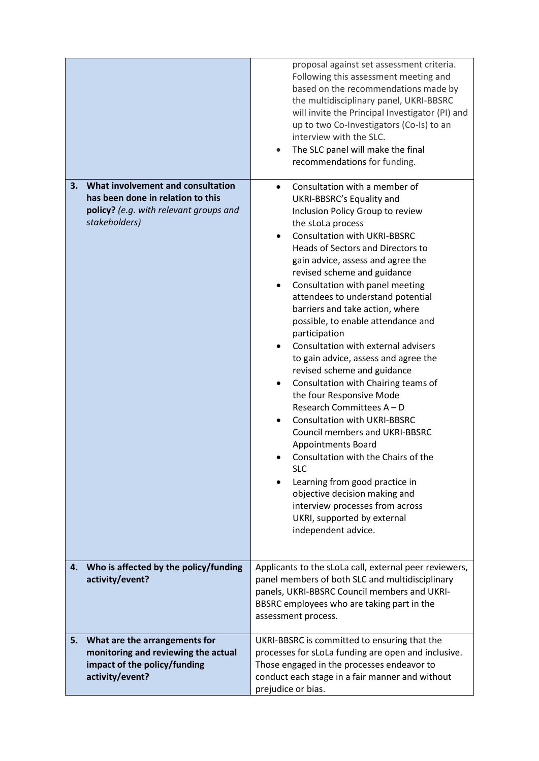|                                                                                                                                         | proposal against set assessment criteria.<br>Following this assessment meeting and<br>based on the recommendations made by<br>the multidisciplinary panel, UKRI-BBSRC<br>will invite the Principal Investigator (PI) and<br>up to two Co-Investigators (Co-Is) to an<br>interview with the SLC.<br>The SLC panel will make the final<br>recommendations for funding.                                                                                                                                                                                                                                                                                                                                                                                                                                                                                                                                                                                                                           |  |
|-----------------------------------------------------------------------------------------------------------------------------------------|------------------------------------------------------------------------------------------------------------------------------------------------------------------------------------------------------------------------------------------------------------------------------------------------------------------------------------------------------------------------------------------------------------------------------------------------------------------------------------------------------------------------------------------------------------------------------------------------------------------------------------------------------------------------------------------------------------------------------------------------------------------------------------------------------------------------------------------------------------------------------------------------------------------------------------------------------------------------------------------------|--|
| What involvement and consultation<br>3.<br>has been done in relation to this<br>policy? (e.g. with relevant groups and<br>stakeholders) | Consultation with a member of<br>UKRI-BBSRC's Equality and<br>Inclusion Policy Group to review<br>the sLoLa process<br><b>Consultation with UKRI-BBSRC</b><br>Heads of Sectors and Directors to<br>gain advice, assess and agree the<br>revised scheme and guidance<br>Consultation with panel meeting<br>attendees to understand potential<br>barriers and take action, where<br>possible, to enable attendance and<br>participation<br>Consultation with external advisers<br>$\bullet$<br>to gain advice, assess and agree the<br>revised scheme and guidance<br>Consultation with Chairing teams of<br>the four Responsive Mode<br>Research Committees A - D<br><b>Consultation with UKRI-BBSRC</b><br><b>Council members and UKRI-BBSRC</b><br><b>Appointments Board</b><br>Consultation with the Chairs of the<br><b>SLC</b><br>Learning from good practice in<br>objective decision making and<br>interview processes from across<br>UKRI, supported by external<br>independent advice. |  |
| Who is affected by the policy/funding<br>4.<br>activity/event?                                                                          | Applicants to the sLoLa call, external peer reviewers,<br>panel members of both SLC and multidisciplinary<br>panels, UKRI-BBSRC Council members and UKRI-<br>BBSRC employees who are taking part in the<br>assessment process.                                                                                                                                                                                                                                                                                                                                                                                                                                                                                                                                                                                                                                                                                                                                                                 |  |
| What are the arrangements for<br>5.<br>monitoring and reviewing the actual<br>impact of the policy/funding<br>activity/event?           | UKRI-BBSRC is committed to ensuring that the<br>processes for sLoLa funding are open and inclusive.<br>Those engaged in the processes endeavor to<br>conduct each stage in a fair manner and without<br>prejudice or bias.                                                                                                                                                                                                                                                                                                                                                                                                                                                                                                                                                                                                                                                                                                                                                                     |  |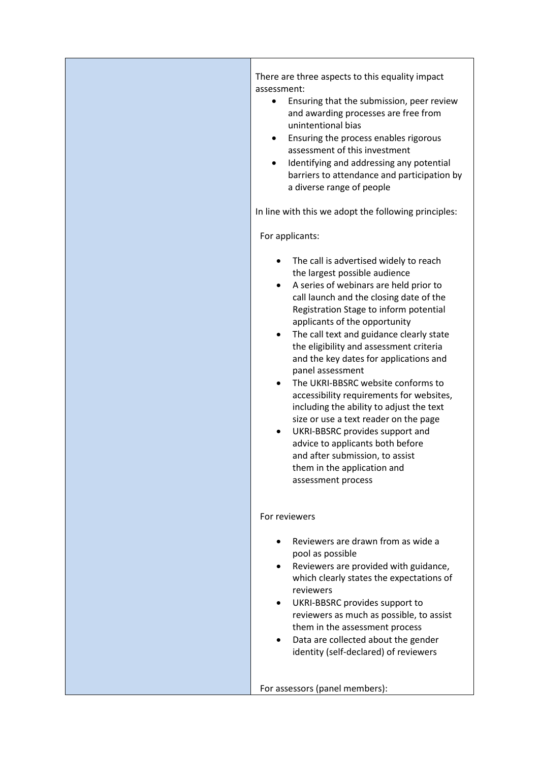There are three aspects to this equality impact assessment:

- Ensuring that the submission, peer review and awarding processes are free from unintentional bias
- Ensuring the process enables rigorous assessment of this investment
- Identifying and addressing any potential barriers to attendance and participation by a diverse range of people

In line with this we adopt the following principles:

For applicants:

- The call is advertised widely to reach the largest possible audience
- A series of webinars are held prior to call launch and the closing date of the Registration Stage to inform potential applicants of the opportunity
- The call text and guidance clearly state the eligibility and assessment criteria and the key dates for applications and panel assessment
- The UKRI-BBSRC website conforms to accessibility requirements for websites, including the ability to adjust the text size or use a text reader on the page
- UKRI-BBSRC provides support and advice to applicants both before and after submission, to assist them in the application and assessment process

#### For reviewers

- Reviewers are drawn from as wide a pool as possible
- Reviewers are provided with guidance, which clearly states the expectations of reviewers
- UKRI-BBSRC provides support to reviewers as much as possible, to assist them in the assessment process
- Data are collected about the gender identity (self-declared) of reviewers

For assessors (panel members):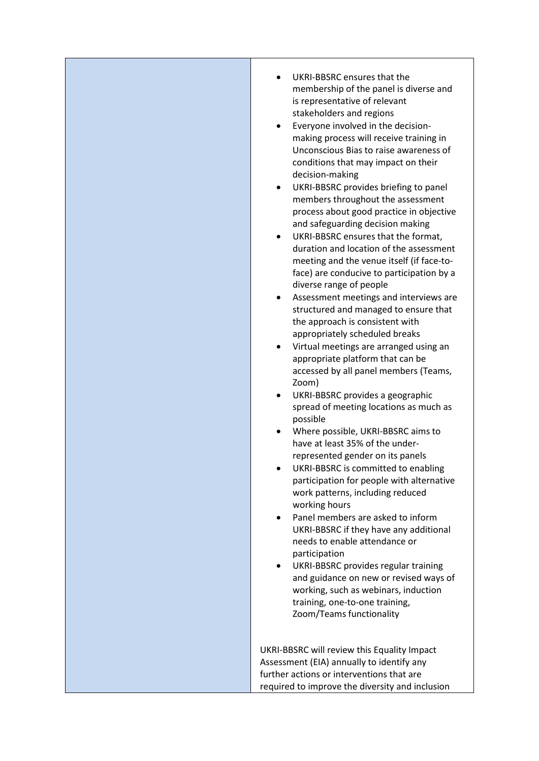• UKRI-BBSRC ensures that the membership of the panel is diverse and is representative of relevant stakeholders and regions • Everyone involved in the decisionmaking process will receive training in Unconscious Bias to raise awareness of conditions that may impact on their decision-making • UKRI-BBSRC provides briefing to panel members throughout the assessment process about good practice in objective and safeguarding decision making • UKRI-BBSRC ensures that the format, duration and location of the assessment meeting and the venue itself (if face-toface) are conducive to participation by a diverse range of people • Assessment meetings and interviews are structured and managed to ensure that the approach is consistent with appropriately scheduled breaks • Virtual meetings are arranged using an appropriate platform that can be accessed by all panel members (Teams, Zoom) • UKRI-BBSRC provides a geographic spread of meeting locations as much as possible • Where possible, UKRI-BBSRC aims to have at least 35% of the underrepresented gender on its panels • UKRI-BBSRC is committed to enabling participation for people with alternative work patterns, including reduced working hours • Panel members are asked to inform UKRI-BBSRC if they have any additional needs to enable attendance or participation UKRI-BBSRC provides regular training and guidance on new or revised ways of working, such as webinars, induction training, one-to-one training, Zoom/Teams functionality UKRI-BBSRC will review this Equality Impact Assessment (EIA) annually to identify any further actions or interventions that are required to improve the diversity and inclusion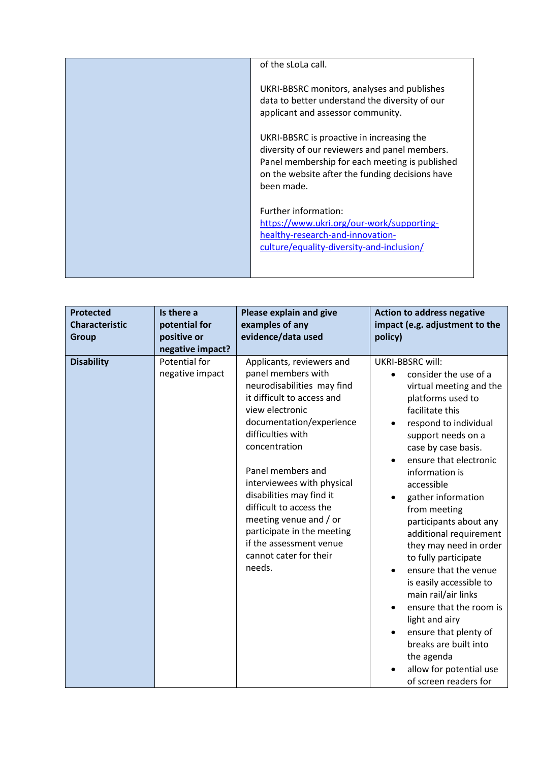| of the sLoLa call.                                                                                                                                                                                            |
|---------------------------------------------------------------------------------------------------------------------------------------------------------------------------------------------------------------|
| UKRI-BBSRC monitors, analyses and publishes<br>data to better understand the diversity of our<br>applicant and assessor community.                                                                            |
| UKRI-BBSRC is proactive in increasing the<br>diversity of our reviewers and panel members.<br>Panel membership for each meeting is published<br>on the website after the funding decisions have<br>been made. |
| Further information:<br>https://www.ukri.org/our-work/supporting-<br>healthy-research-and-innovation-<br>culture/equality-diversity-and-inclusion/                                                            |

| <b>Protected</b><br><b>Characteristic</b><br><b>Group</b> | Is there a<br>potential for<br>positive or<br>negative impact? | Please explain and give<br>examples of any<br>evidence/data used                                                                                                                                                                                                                                                                                                                                                                  | <b>Action to address negative</b><br>impact (e.g. adjustment to the<br>policy)                                                                                                                                                                                                                                                                                                                                                                                                                                                                                                                                                                                                     |
|-----------------------------------------------------------|----------------------------------------------------------------|-----------------------------------------------------------------------------------------------------------------------------------------------------------------------------------------------------------------------------------------------------------------------------------------------------------------------------------------------------------------------------------------------------------------------------------|------------------------------------------------------------------------------------------------------------------------------------------------------------------------------------------------------------------------------------------------------------------------------------------------------------------------------------------------------------------------------------------------------------------------------------------------------------------------------------------------------------------------------------------------------------------------------------------------------------------------------------------------------------------------------------|
| <b>Disability</b>                                         | Potential for<br>negative impact                               | Applicants, reviewers and<br>panel members with<br>neurodisabilities may find<br>it difficult to access and<br>view electronic<br>documentation/experience<br>difficulties with<br>concentration<br>Panel members and<br>interviewees with physical<br>disabilities may find it<br>difficult to access the<br>meeting venue and / or<br>participate in the meeting<br>if the assessment venue<br>cannot cater for their<br>needs. | <b>UKRI-BBSRC will:</b><br>consider the use of a<br>$\bullet$<br>virtual meeting and the<br>platforms used to<br>facilitate this<br>respond to individual<br>support needs on a<br>case by case basis.<br>ensure that electronic<br>$\bullet$<br>information is<br>accessible<br>gather information<br>from meeting<br>participants about any<br>additional requirement<br>they may need in order<br>to fully participate<br>ensure that the venue<br>is easily accessible to<br>main rail/air links<br>ensure that the room is<br>$\bullet$<br>light and airy<br>ensure that plenty of<br>breaks are built into<br>the agenda<br>allow for potential use<br>of screen readers for |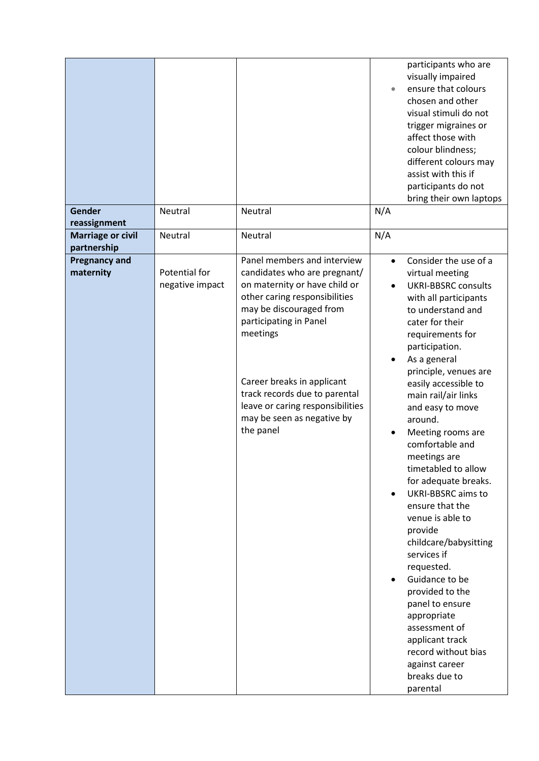| <b>Gender</b>                           | Neutral                          | Neutral                                                                                                                                                                                        |                                     | participants who are<br>visually impaired<br>ensure that colours<br>chosen and other<br>visual stimuli do not<br>trigger migraines or<br>affect those with<br>colour blindness;<br>different colours may<br>assist with this if<br>participants do not<br>bring their own laptops                                                                                                                                                                                                                       |
|-----------------------------------------|----------------------------------|------------------------------------------------------------------------------------------------------------------------------------------------------------------------------------------------|-------------------------------------|---------------------------------------------------------------------------------------------------------------------------------------------------------------------------------------------------------------------------------------------------------------------------------------------------------------------------------------------------------------------------------------------------------------------------------------------------------------------------------------------------------|
| reassignment                            |                                  |                                                                                                                                                                                                | N/A                                 |                                                                                                                                                                                                                                                                                                                                                                                                                                                                                                         |
| <b>Marriage or civil</b><br>partnership | Neutral                          | Neutral                                                                                                                                                                                        | N/A                                 |                                                                                                                                                                                                                                                                                                                                                                                                                                                                                                         |
| <b>Pregnancy and</b><br>maternity       | Potential for<br>negative impact | Panel members and interview<br>candidates who are pregnant/<br>on maternity or have child or<br>other caring responsibilities<br>may be discouraged from<br>participating in Panel<br>meetings | $\bullet$<br>$\bullet$<br>$\bullet$ | Consider the use of a<br>virtual meeting<br><b>UKRI-BBSRC consults</b><br>with all participants<br>to understand and<br>cater for their<br>requirements for<br>participation.<br>As a general<br>principle, venues are                                                                                                                                                                                                                                                                                  |
|                                         |                                  | Career breaks in applicant<br>track records due to parental<br>leave or caring responsibilities<br>may be seen as negative by<br>the panel                                                     | $\bullet$<br>$\bullet$              | easily accessible to<br>main rail/air links<br>and easy to move<br>around.<br>Meeting rooms are<br>comfortable and<br>meetings are<br>timetabled to allow<br>for adequate breaks.<br><b>UKRI-BBSRC</b> aims to<br>ensure that the<br>venue is able to<br>provide<br>childcare/babysitting<br>services if<br>requested.<br>Guidance to be<br>provided to the<br>panel to ensure<br>appropriate<br>assessment of<br>applicant track<br>record without bias<br>against career<br>breaks due to<br>parental |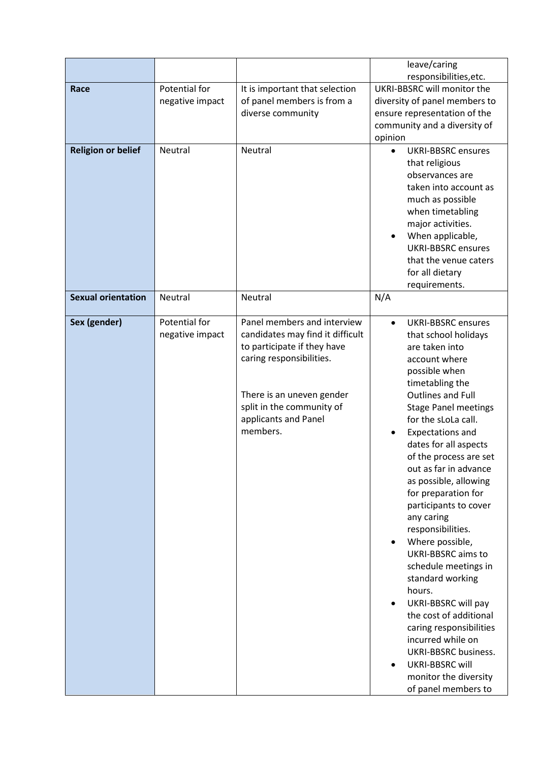|                 |                                  | leave/caring<br>responsibilities, etc.                                                                                                         |
|-----------------|----------------------------------|------------------------------------------------------------------------------------------------------------------------------------------------|
| Potential for   | It is important that selection   | UKRI-BBSRC will monitor the                                                                                                                    |
| negative impact | of panel members is from a       | diversity of panel members to                                                                                                                  |
|                 |                                  | ensure representation of the                                                                                                                   |
|                 |                                  | community and a diversity of<br>opinion                                                                                                        |
| Neutral         | <b>Neutral</b>                   | <b>UKRI-BBSRC ensures</b><br>$\bullet$                                                                                                         |
|                 |                                  | that religious                                                                                                                                 |
|                 |                                  | observances are                                                                                                                                |
|                 |                                  | taken into account as<br>much as possible                                                                                                      |
|                 |                                  | when timetabling                                                                                                                               |
|                 |                                  | major activities.                                                                                                                              |
|                 |                                  | When applicable,                                                                                                                               |
|                 |                                  | <b>UKRI-BBSRC</b> ensures                                                                                                                      |
|                 |                                  | that the venue caters<br>for all dietary                                                                                                       |
|                 |                                  | requirements.                                                                                                                                  |
| Neutral         | Neutral                          | N/A                                                                                                                                            |
|                 |                                  | <b>UKRI-BBSRC</b> ensures                                                                                                                      |
|                 |                                  | $\bullet$<br>that school holidays                                                                                                              |
|                 | to participate if they have      | are taken into                                                                                                                                 |
|                 | caring responsibilities.         | account where                                                                                                                                  |
|                 |                                  | possible when                                                                                                                                  |
|                 |                                  | timetabling the<br><b>Outlines and Full</b>                                                                                                    |
|                 |                                  | <b>Stage Panel meetings</b>                                                                                                                    |
|                 | applicants and Panel             | for the sLoLa call.                                                                                                                            |
|                 | members.                         | <b>Expectations and</b><br>$\bullet$                                                                                                           |
|                 |                                  | dates for all aspects                                                                                                                          |
|                 |                                  | of the process are set<br>out as far in advance                                                                                                |
|                 |                                  | as possible, allowing                                                                                                                          |
|                 |                                  | for preparation for                                                                                                                            |
|                 |                                  | participants to cover                                                                                                                          |
|                 |                                  | any caring                                                                                                                                     |
|                 |                                  | responsibilities.<br>Where possible,                                                                                                           |
|                 |                                  | <b>UKRI-BBSRC</b> aims to                                                                                                                      |
|                 |                                  | schedule meetings in                                                                                                                           |
|                 |                                  | standard working                                                                                                                               |
|                 |                                  | hours.                                                                                                                                         |
|                 |                                  | UKRI-BBSRC will pay<br>the cost of additional                                                                                                  |
|                 |                                  | caring responsibilities                                                                                                                        |
|                 |                                  | incurred while on                                                                                                                              |
|                 |                                  | <b>UKRI-BBSRC business.</b>                                                                                                                    |
|                 |                                  | <b>UKRI-BBSRC will</b>                                                                                                                         |
|                 |                                  | monitor the diversity<br>of panel members to                                                                                                   |
|                 | Potential for<br>negative impact | diverse community<br>Panel members and interview<br>candidates may find it difficult<br>There is an uneven gender<br>split in the community of |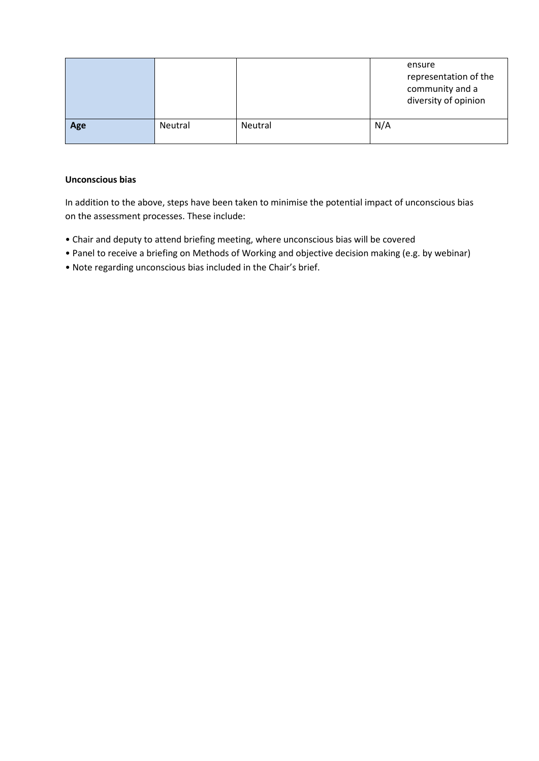|     |         |         | ensure<br>representation of the<br>community and a<br>diversity of opinion |
|-----|---------|---------|----------------------------------------------------------------------------|
| Age | Neutral | Neutral | N/A                                                                        |

## **Unconscious bias**

In addition to the above, steps have been taken to minimise the potential impact of unconscious bias on the assessment processes. These include:

- Chair and deputy to attend briefing meeting, where unconscious bias will be covered
- Panel to receive a briefing on Methods of Working and objective decision making (e.g. by webinar)
- Note regarding unconscious bias included in the Chair's brief.